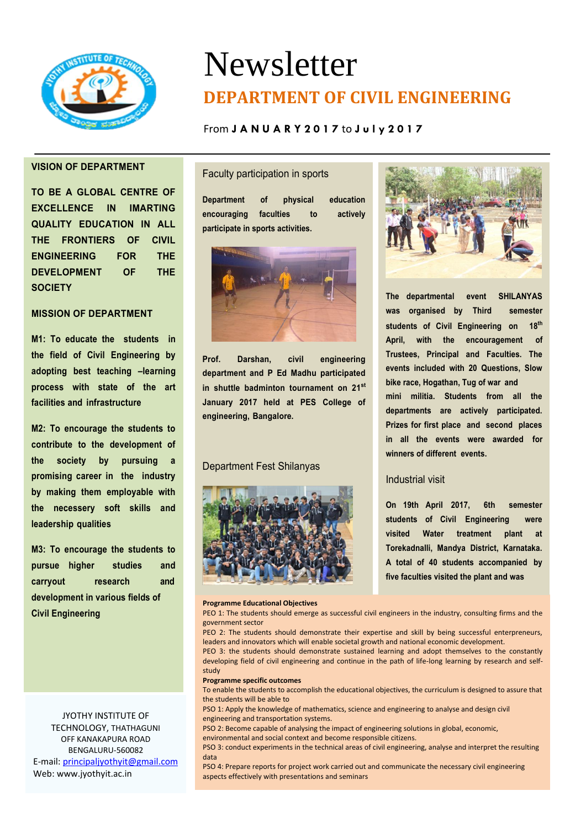

# Newsletter **DEPARTMENT OF CIVIL ENGINEERING**

## From **J A N U A R Y 2 0 1 7** to **J u l y 2 0 1 7**

## **VISION OF DEPARTMENT**

**TO BE A GLOBAL CENTRE OF EXCELLENCE IN IMARTING QUALITY EDUCATION IN ALL THE FRONTIERS OF CIVIL ENGINEERING FOR THE DEVELOPMENT OF THE SOCIETY**

## **MISSION OF DEPARTMENT**

**M1: To educate the students in the field of Civil Engineering by adopting best teaching –learning process with state of the art facilities and infrastructure**

**M2: To encourage the students to contribute to the development of the society by pursuing a promising career in the industry by making them employable with the necessery soft skills and leadership qualities**

**M3: To encourage the students to pursue higher studies and carryout research and development in various fields of Civil Engineering**

JYOTHY INSTITUTE OF TECHNOLOGY, THATHAGUNI OFF KANAKAPURA ROAD BENGALURU-560082 E-mail: [principaljyothyit@gmail.com](mailto:principaljyothyit@gmail.com) Web: [www.jyothyit.ac.in](http://www.jyothyit.ac.in/)

## Faculty participation in sports

**Department of physical education encouraging faculties to actively participate in sports activities.**



**Prof. Darshan, civil engineering department and P Ed Madhu participated in shuttle badminton tournament on 21st January 2017 held at PES College of engineering, Bangalore.**

### Department Fest Shilanyas



#### **Programme Educational Objectives**



**The departmental event SHILANYAS was organised by Third semester students of Civil Engineering on 18th April, with the encouragement of Trustees, Principal and Faculties. The events included with 20 Questions, Slow bike race, Hogathan, Tug of war and mini militia. Students from all the departments are actively participated. Prizes for first place and second places in all the events were awarded for winners of different events.**

## Industrial visit

**On 19th April 2017, 6th semester students of Civil Engineering were visited Water treatment plant at Torekadnalli, Mandya District, Karnataka. A total of 40 students accompanied by five faculties visited the plant and was**

PEO 1: The students should emerge as successful civil engineers in the industry, consulting firms and the government sector

PEO 2: The students should demonstrate their expertise and skill by being successful enterpreneurs, leaders and innovators which will enable societal growth and national economic development.

PEO 3: the students should demonstrate sustained learning and adopt themselves to the constantly developing field of civil engineering and continue in the path of life-long learning by research and selfstudy

#### **Programme specific outcomes**

To enable the students to accomplish the educational objectives, the curriculum is designed to assure that the students will be able to

PSO 1: Apply the knowledge of mathematics, science and engineering to analyse and design civil engineering and transportation systems.

PSO 2: Become capable of analysing the impact of engineering solutions in global, economic, environmental and social context and become responsible citizens.

PSO 3: conduct experiments in the technical areas of civil engineering, analyse and interpret the resulting data

PSO 4: Prepare reports for project work carried out and communicate the necessary civil engineering aspects effectively with presentations and seminars